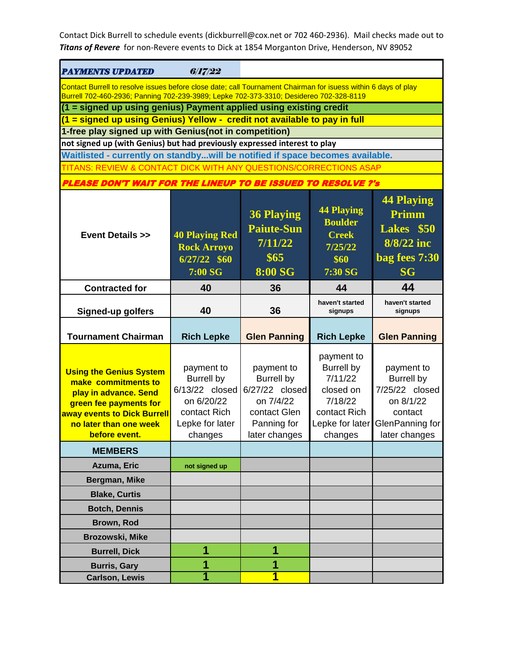| <b>PAYMENTS UPDATED</b>                                                                                                                                                                                  | 6/17/22                                                                                                       |                                                                                                                |                                                                                                    |                                                                                                               |  |
|----------------------------------------------------------------------------------------------------------------------------------------------------------------------------------------------------------|---------------------------------------------------------------------------------------------------------------|----------------------------------------------------------------------------------------------------------------|----------------------------------------------------------------------------------------------------|---------------------------------------------------------------------------------------------------------------|--|
| Contact Burrell to resolve issues before close date; call Tournament Chairman for isuess within 6 days of play<br>Burrell 702-460-2936; Panning 702-239-3989; Lepke 702-373-3310; Desidereo 702-328-8119 |                                                                                                               |                                                                                                                |                                                                                                    |                                                                                                               |  |
| (1 = signed up using genius) Payment applied using existing credit                                                                                                                                       |                                                                                                               |                                                                                                                |                                                                                                    |                                                                                                               |  |
| (1 = signed up using Genius) Yellow - credit not available to pay in full                                                                                                                                |                                                                                                               |                                                                                                                |                                                                                                    |                                                                                                               |  |
|                                                                                                                                                                                                          | 1-free play signed up with Genius(not in competition)                                                         |                                                                                                                |                                                                                                    |                                                                                                               |  |
| not signed up (with Genius) but had previously expressed interest to play                                                                                                                                |                                                                                                               |                                                                                                                |                                                                                                    |                                                                                                               |  |
| Waitlisted - currently on standbywill be notified if space becomes available.                                                                                                                            |                                                                                                               |                                                                                                                |                                                                                                    |                                                                                                               |  |
| TITANS: REVIEW & CONTACT DICK WITH ANY QUESTIONS/CORRECTIONS ASAP                                                                                                                                        |                                                                                                               |                                                                                                                |                                                                                                    |                                                                                                               |  |
| <b>PLEASE DON'T WAIT FOR THE LINEUP TO BE ISSUED TO RESOLVE ?'s</b>                                                                                                                                      |                                                                                                               |                                                                                                                |                                                                                                    |                                                                                                               |  |
| <b>Event Details &gt;&gt;</b>                                                                                                                                                                            | <b>40 Playing Red</b><br><b>Rock Arroyo</b><br>$6/27/22$ \$60<br>7:00 SG                                      | <b>36 Playing</b><br><b>Paiute-Sun</b><br>7/11/22<br>\$65<br><b>8:00 SG</b>                                    | <b>44 Playing</b><br><b>Boulder</b><br><b>Creek</b><br>7/25/22<br>\$60<br>7:30 SG                  | <b>44 Playing</b><br>Primm<br>Lakes \$50<br>8/8/22 inc<br>bag fees 7:30<br><b>SG</b>                          |  |
| <b>Contracted for</b>                                                                                                                                                                                    | 40                                                                                                            | 36                                                                                                             | 44                                                                                                 | 44                                                                                                            |  |
| <b>Signed-up golfers</b>                                                                                                                                                                                 | 40                                                                                                            | 36                                                                                                             | haven't started<br>signups                                                                         | haven't started<br>signups                                                                                    |  |
| <b>Tournament Chairman</b>                                                                                                                                                                               | <b>Rich Lepke</b>                                                                                             | <b>Glen Panning</b>                                                                                            | <b>Rich Lepke</b>                                                                                  | <b>Glen Panning</b>                                                                                           |  |
|                                                                                                                                                                                                          |                                                                                                               |                                                                                                                | payment to                                                                                         |                                                                                                               |  |
| <b>Using the Genius System</b><br>make commitments to<br>play in advance. Send<br>green fee payments for<br>away events to Dick Burrell<br>no later than one week<br>before event.                       | payment to<br><b>Burrell by</b><br>6/13/22 closed<br>on 6/20/22<br>contact Rich<br>Lepke for later<br>changes | payment to<br><b>Burrell by</b><br>6/27/22 closed<br>on 7/4/22<br>contact Glen<br>Panning for<br>later changes | <b>Burrell by</b><br>7/11/22<br>closed on<br>7/18/22<br>contact Rich<br>Lepke for later<br>changes | payment to<br><b>Burrell by</b><br>7/25/22 closed<br>on 8/1/22<br>contact<br>GlenPanning for<br>later changes |  |
| <b>MEMBERS</b>                                                                                                                                                                                           |                                                                                                               |                                                                                                                |                                                                                                    |                                                                                                               |  |
| Azuma, Eric                                                                                                                                                                                              | not signed up                                                                                                 |                                                                                                                |                                                                                                    |                                                                                                               |  |
| Bergman, Mike                                                                                                                                                                                            |                                                                                                               |                                                                                                                |                                                                                                    |                                                                                                               |  |
| <b>Blake, Curtis</b>                                                                                                                                                                                     |                                                                                                               |                                                                                                                |                                                                                                    |                                                                                                               |  |
| <b>Botch, Dennis</b>                                                                                                                                                                                     |                                                                                                               |                                                                                                                |                                                                                                    |                                                                                                               |  |
|                                                                                                                                                                                                          |                                                                                                               |                                                                                                                |                                                                                                    |                                                                                                               |  |
| Brown, Rod<br>Brozowski, Mike                                                                                                                                                                            |                                                                                                               |                                                                                                                |                                                                                                    |                                                                                                               |  |
| <b>Burrell, Dick</b>                                                                                                                                                                                     | 1                                                                                                             | 1                                                                                                              |                                                                                                    |                                                                                                               |  |
| <b>Burris, Gary</b>                                                                                                                                                                                      | 1<br>1                                                                                                        | 1                                                                                                              |                                                                                                    |                                                                                                               |  |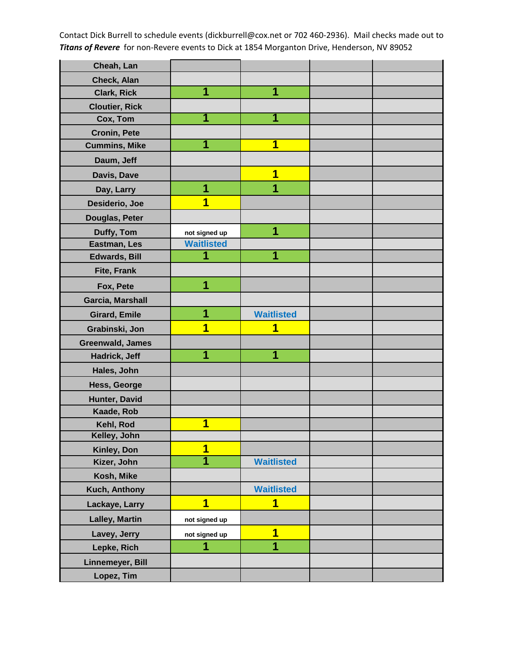| Cheah, Lan            |                   |                         |  |
|-----------------------|-------------------|-------------------------|--|
| Check, Alan           |                   |                         |  |
| <b>Clark, Rick</b>    | 1                 | 1                       |  |
| <b>Cloutier, Rick</b> |                   |                         |  |
| Cox, Tom              | 1                 |                         |  |
| <b>Cronin, Pete</b>   |                   |                         |  |
| <b>Cummins, Mike</b>  | 1                 | 1                       |  |
| Daum, Jeff            |                   |                         |  |
| Davis, Dave           |                   | 1                       |  |
| Day, Larry            | 1                 | 1                       |  |
| Desiderio, Joe        | 1                 |                         |  |
| Douglas, Peter        |                   |                         |  |
| Duffy, Tom            | not signed up     | 1                       |  |
| Eastman, Les          | <b>Waitlisted</b> |                         |  |
| <b>Edwards, Bill</b>  | 1                 | 1                       |  |
| <b>Fite, Frank</b>    |                   |                         |  |
| Fox, Pete             | 1                 |                         |  |
| Garcia, Marshall      |                   |                         |  |
| <b>Girard, Emile</b>  | 1                 | <b>Waitlisted</b>       |  |
| Grabinski, Jon        | 1                 | 1                       |  |
| Greenwald, James      |                   |                         |  |
| Hadrick, Jeff         | 1                 | 1                       |  |
| Hales, John           |                   |                         |  |
| Hess, George          |                   |                         |  |
| Hunter, David         |                   |                         |  |
| Kaade, Rob            |                   |                         |  |
| Kehl, Rod             | 1                 |                         |  |
| Kelley, John          |                   |                         |  |
| Kinley, Don           | 1                 |                         |  |
| Kizer, John           | 1                 | <b>Waitlisted</b>       |  |
| Kosh, Mike            |                   |                         |  |
| Kuch, Anthony         |                   | <b>Waitlisted</b>       |  |
| Lackaye, Larry        | 1                 | $\overline{\mathbf{1}}$ |  |
| <b>Lalley, Martin</b> | not signed up     |                         |  |
| Lavey, Jerry          | not signed up     | 1                       |  |
| Lepke, Rich           | 1                 | 1                       |  |
| Linnemeyer, Bill      |                   |                         |  |
| Lopez, Tim            |                   |                         |  |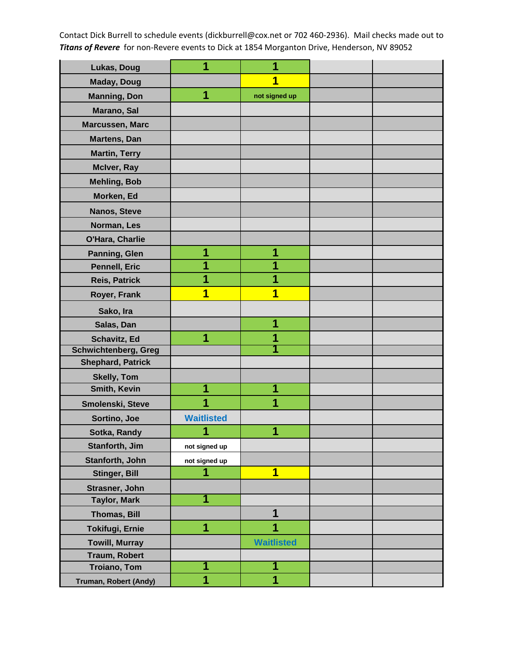| Lukas, Doug                 | 1                 | 1                       |  |
|-----------------------------|-------------------|-------------------------|--|
| <b>Maday, Doug</b>          |                   | 1                       |  |
| <b>Manning, Don</b>         | 1                 | not signed up           |  |
| Marano, Sal                 |                   |                         |  |
| Marcussen, Marc             |                   |                         |  |
| Martens, Dan                |                   |                         |  |
| <b>Martin, Terry</b>        |                   |                         |  |
| McIver, Ray                 |                   |                         |  |
| <b>Mehling, Bob</b>         |                   |                         |  |
| Morken, Ed                  |                   |                         |  |
| Nanos, Steve                |                   |                         |  |
| Norman, Les                 |                   |                         |  |
| O'Hara, Charlie             |                   |                         |  |
| Panning, Glen               | 1                 | 1                       |  |
| Pennell, Eric               | 1                 | 1                       |  |
| <b>Reis, Patrick</b>        | 1                 | 1                       |  |
| Royer, Frank                | 1                 | 1                       |  |
| Sako, Ira                   |                   |                         |  |
| Salas, Dan                  |                   | 1                       |  |
| Schavitz, Ed                | 1                 | 1                       |  |
| <b>Schwichtenberg, Greg</b> |                   |                         |  |
| <b>Shephard, Patrick</b>    |                   |                         |  |
| <b>Skelly, Tom</b>          |                   |                         |  |
| Smith, Kevin                | 1                 | 1                       |  |
| Smolenski, Steve            | 1                 | 1                       |  |
| Sortino, Joe                | <b>Waitlisted</b> |                         |  |
| Sotka, Randy                | и                 | A                       |  |
| Stanforth, Jim              | not signed up     |                         |  |
| Stanforth, John             | not signed up     |                         |  |
| <b>Stinger, Bill</b>        | 1                 | $\overline{\mathbf{1}}$ |  |
| Strasner, John              |                   |                         |  |
| <b>Taylor, Mark</b>         | 1                 |                         |  |
| Thomas, Bill                |                   | 1                       |  |
| <b>Tokifugi, Ernie</b>      | 1                 | 1                       |  |
| <b>Towill, Murray</b>       |                   | <b>Waitlisted</b>       |  |
| Traum, Robert               |                   |                         |  |
| <b>Troiano, Tom</b>         | 1                 | 1                       |  |
| Truman, Robert (Andy)       | 1                 | $\overline{1}$          |  |